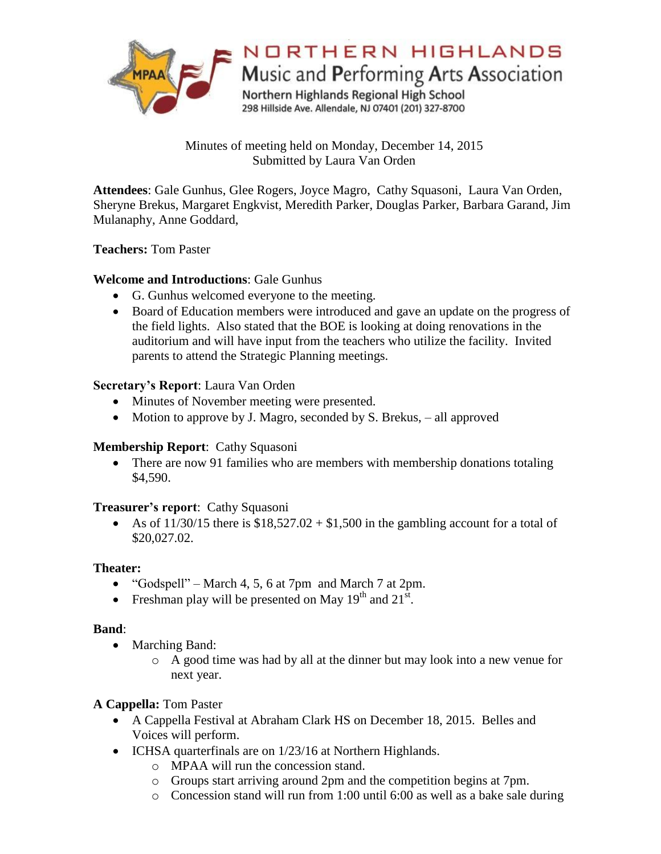

Minutes of meeting held on Monday, December 14, 2015 Submitted by Laura Van Orden

**Attendees**: Gale Gunhus, Glee Rogers, Joyce Magro, Cathy Squasoni, Laura Van Orden, Sheryne Brekus, Margaret Engkvist, Meredith Parker, Douglas Parker, Barbara Garand, Jim Mulanaphy, Anne Goddard,

## **Teachers:** Tom Paster

# **Welcome and Introductions**: Gale Gunhus

- G. Gunhus welcomed everyone to the meeting.
- Board of Education members were introduced and gave an update on the progress of the field lights. Also stated that the BOE is looking at doing renovations in the auditorium and will have input from the teachers who utilize the facility. Invited parents to attend the Strategic Planning meetings.

### **Secretary's Report**: Laura Van Orden

- Minutes of November meeting were presented.
- Motion to approve by J. Magro, seconded by S. Brekus, all approved

# **Membership Report**: Cathy Squasoni

• There are now 91 families who are members with membership donations totaling \$4,590.

### **Treasurer's report**: Cathy Squasoni

As of  $11/30/15$  there is  $$18,527.02 + $1,500$  in the gambling account for a total of \$20,027.02.

### **Theater:**

- "Godspell" March 4, 5, 6 at 7pm and March 7 at 2pm.
- Freshman play will be presented on May  $19<sup>th</sup>$  and  $21<sup>st</sup>$ .

### **Band**:

- Marching Band:
	- o A good time was had by all at the dinner but may look into a new venue for next year.

# **A Cappella:** Tom Paster

- A Cappella Festival at Abraham Clark HS on December 18, 2015. Belles and Voices will perform.
- ICHSA quarterfinals are on 1/23/16 at Northern Highlands.
	- o MPAA will run the concession stand.
	- o Groups start arriving around 2pm and the competition begins at 7pm.
	- o Concession stand will run from 1:00 until 6:00 as well as a bake sale during